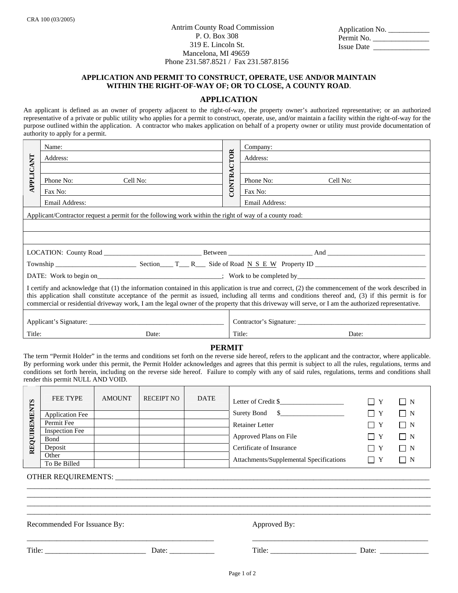Antrim County Road Commission P. O. Box 308 319 E. Lincoln St. Mancelona, MI 49659 Phone 231.587.8521 / Fax 231.587.8156

| Application No.   |  |
|-------------------|--|
| Permit No.        |  |
| <b>Issue Date</b> |  |

## **APPLICATION AND PERMIT TO CONSTRUCT, OPERATE, USE AND/OR MAINTAIN WITHIN THE RIGHT-OF-WAY OF; OR TO CLOSE, A COUNTY ROAD**.

# **APPLICATION**

An applicant is defined as an owner of property adjacent to the right-of-way, the property owner's authorized representative; or an authorized representative of a private or public utility who applies for a permit to construct, operate, use, and/or maintain a facility within the right-of-way for the purpose outlined within the application. A contractor who makes application on behalf of a property owner or utility must provide documentation of authority to apply for a permit.

| APPLICANT                                                                                                                                                                                                                                                                                                                                                                                                                                                     | Name:                 | CONTRACTOR | Company:              |  |  |  |  |  |  |
|---------------------------------------------------------------------------------------------------------------------------------------------------------------------------------------------------------------------------------------------------------------------------------------------------------------------------------------------------------------------------------------------------------------------------------------------------------------|-----------------------|------------|-----------------------|--|--|--|--|--|--|
|                                                                                                                                                                                                                                                                                                                                                                                                                                                               | Address:              |            | Address:              |  |  |  |  |  |  |
|                                                                                                                                                                                                                                                                                                                                                                                                                                                               |                       |            |                       |  |  |  |  |  |  |
|                                                                                                                                                                                                                                                                                                                                                                                                                                                               | Phone No:<br>Cell No: |            | Phone No:<br>Cell No: |  |  |  |  |  |  |
|                                                                                                                                                                                                                                                                                                                                                                                                                                                               | Fax No:               |            | Fax No:               |  |  |  |  |  |  |
|                                                                                                                                                                                                                                                                                                                                                                                                                                                               | Email Address:        |            | Email Address:        |  |  |  |  |  |  |
| Applicant/Contractor request a permit for the following work within the right of way of a county road:                                                                                                                                                                                                                                                                                                                                                        |                       |            |                       |  |  |  |  |  |  |
|                                                                                                                                                                                                                                                                                                                                                                                                                                                               |                       |            |                       |  |  |  |  |  |  |
|                                                                                                                                                                                                                                                                                                                                                                                                                                                               |                       |            |                       |  |  |  |  |  |  |
|                                                                                                                                                                                                                                                                                                                                                                                                                                                               |                       |            |                       |  |  |  |  |  |  |
|                                                                                                                                                                                                                                                                                                                                                                                                                                                               |                       |            |                       |  |  |  |  |  |  |
|                                                                                                                                                                                                                                                                                                                                                                                                                                                               |                       |            |                       |  |  |  |  |  |  |
| I certify and acknowledge that (1) the information contained in this application is true and correct, (2) the commencement of the work described in<br>this application shall constitute acceptance of the permit as issued, including all terms and conditions thereof and, (3) if this permit is for<br>commercial or residential driveway work, I am the legal owner of the property that this driveway will serve, or I am the authorized representative. |                       |            |                       |  |  |  |  |  |  |
|                                                                                                                                                                                                                                                                                                                                                                                                                                                               |                       |            |                       |  |  |  |  |  |  |
|                                                                                                                                                                                                                                                                                                                                                                                                                                                               |                       |            |                       |  |  |  |  |  |  |
| Title:                                                                                                                                                                                                                                                                                                                                                                                                                                                        | Date:                 |            | Title:<br>Date:       |  |  |  |  |  |  |

### **PERMIT**

The term "Permit Holder" in the terms and conditions set forth on the reverse side hereof, refers to the applicant and the contractor, where applicable. By performing work under this permit, the Permit Holder acknowledges and agrees that this permit is subject to all the rules, regulations, terms and conditions set forth herein, including on the reverse side hereof. Failure to comply with any of said rules, regulations, terms and conditions shall render this permit NULL AND VOID.

| REQUIREMENTS | <b>FEE TYPE</b>        | <b>AMOUNT</b> | <b>RECEIPT NO</b> | <b>DATE</b> | Letter of Credit \$                     | II Y               | $\Box$ N |
|--------------|------------------------|---------------|-------------------|-------------|-----------------------------------------|--------------------|----------|
|              | <b>Application Fee</b> |               |                   |             | $\mathbb{S}$<br>Surety Bond             | Y                  | $\Box$ N |
|              | Permit Fee             |               |                   |             | <b>Retainer Letter</b>                  | $\Box$<br>- Y      | $\Box$ N |
|              | <b>Inspection Fee</b>  |               |                   |             |                                         |                    |          |
|              | Bond                   |               |                   |             | Approved Plans on File                  | $\Box$<br>- Y      | $\Box$ N |
|              | Deposit                |               |                   |             | Certificate of Insurance                | ΙI<br>$\mathbf{Y}$ | $\Box$ N |
|              | Other                  |               |                   |             | Attachments/Supplemental Specifications | Y                  | $\Box$ N |
|              | To Be Billed           |               |                   |             |                                         |                    |          |

\_\_\_\_\_\_\_\_\_\_\_\_\_\_\_\_\_\_\_\_\_\_\_\_\_\_\_\_\_\_\_\_\_\_\_\_\_\_\_\_\_\_\_\_\_\_\_\_\_\_\_\_\_\_\_\_\_\_\_\_\_\_\_\_\_\_\_\_\_\_\_\_\_\_\_\_\_\_\_\_\_\_\_\_\_\_\_\_\_\_\_\_\_\_\_\_\_\_\_\_\_\_\_\_\_\_\_\_ \_\_\_\_\_\_\_\_\_\_\_\_\_\_\_\_\_\_\_\_\_\_\_\_\_\_\_\_\_\_\_\_\_\_\_\_\_\_\_\_\_\_\_\_\_\_\_\_\_\_\_\_\_\_\_\_\_\_\_\_\_\_\_\_\_\_\_\_\_\_\_\_\_\_\_\_\_\_\_\_\_\_\_\_\_\_\_\_\_\_\_\_\_\_\_\_\_\_\_\_\_\_\_\_\_\_\_\_ \_\_\_\_\_\_\_\_\_\_\_\_\_\_\_\_\_\_\_\_\_\_\_\_\_\_\_\_\_\_\_\_\_\_\_\_\_\_\_\_\_\_\_\_\_\_\_\_\_\_\_\_\_\_\_\_\_\_\_\_\_\_\_\_\_\_\_\_\_\_\_\_\_\_\_\_\_\_\_\_\_\_\_\_\_\_\_\_\_\_\_\_\_\_\_\_\_\_\_\_\_\_\_\_\_\_\_\_ \_\_\_\_\_\_\_\_\_\_\_\_\_\_\_\_\_\_\_\_\_\_\_\_\_\_\_\_\_\_\_\_\_\_\_\_\_\_\_\_\_\_\_\_\_\_\_\_\_\_\_\_\_\_\_\_\_\_\_\_\_\_\_\_\_\_\_\_\_\_\_\_\_\_\_\_\_\_\_\_\_\_\_\_\_\_\_\_\_\_\_\_\_\_\_\_\_\_\_\_\_\_\_\_\_\_\_\_

\_\_\_\_\_\_\_\_\_\_\_\_\_\_\_\_\_\_\_\_\_\_\_\_\_\_\_\_\_\_\_\_\_\_\_\_\_\_\_\_\_\_\_\_\_\_\_\_\_\_ \_\_\_\_\_\_\_\_\_\_\_\_\_\_\_\_\_\_\_\_\_\_\_\_\_\_\_\_\_\_\_\_\_\_\_\_\_\_\_\_\_\_\_\_\_\_\_

OTHER REQUIREMENTS: \_\_\_\_\_\_\_\_\_\_\_\_\_\_\_\_\_\_\_\_\_\_\_\_\_\_\_\_\_\_\_\_\_\_\_\_\_\_\_\_\_\_\_\_\_\_\_\_\_\_\_\_\_\_\_\_\_\_\_\_\_\_\_\_\_\_\_\_\_\_\_\_\_\_\_\_\_\_\_\_\_\_\_\_

Recommended For Issuance By: Approved By:

Title: \_\_\_\_\_\_\_\_\_\_\_\_\_\_\_\_\_\_\_\_\_\_\_\_\_\_\_ Date: \_\_\_\_\_\_\_\_\_\_\_\_ Title: \_\_\_\_\_\_\_\_\_\_\_\_\_\_\_\_\_\_\_\_\_\_\_ Date: \_\_\_\_\_\_\_\_\_\_\_\_\_